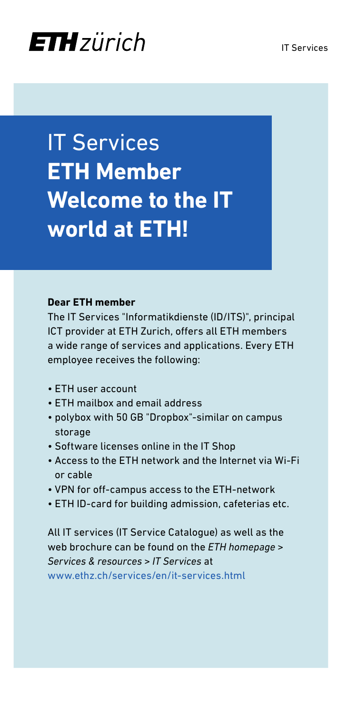# **ETH** zürich

IT Services **ETH Member Welcome to the IT world at ETH!**

#### **Dear ETH member**

The IT Services "Informatikdienste (ID/ITS)", principal ICT provider at ETH Zurich, offers all ETH members a wide range of services and applications. Every ETH employee receives the following:

- ETH user account
- ETH mailbox and email address
- polybox with 50 GB "Dropbox"-similar on campus storage
- Software licenses online in the IT Shop
- Access to the ETH network and the Internet via Wi-Fi or cable
- VPN for off-campus access to the ETH-network
- ETH ID-card for building admission, cafeterias etc.

All IT services (IT Service Catalogue) as well as the web brochure can be found on the *ETH homepage > Services & resources > IT Services* at [www.ethz.ch/services/en/it-services.html](http://www.ethz.ch/services/en/it-services.html)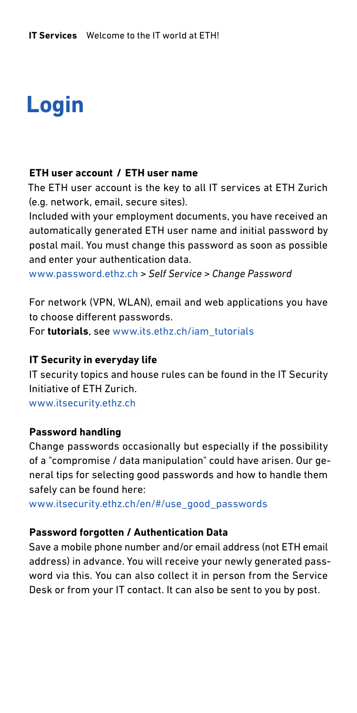# **Login**

#### **ETH user account / ETH user name**

The ETH user account is the key to all IT services at ETH Zurich (e.g. network, email, secure sites).

Included with your employment documents, you have received an automatically generated ETH user name and initial password by postal mail. You must change this password as soon as possible and enter your authentication data.

[www.password.ethz.ch](http://www.password.ethz.ch) *> Self Service > Change Password*

For network (VPN, WLAN), email and web applications you have to choose different passwords.

For **tutorials**, see [www.its.ethz.ch/iam\\_tutorials](http://www.its.ethz.ch/iam_tutorials)

#### **IT Security in everyday life**

IT security topics and house rules can be found in the IT Security Initiative of ETH Zurich. [www.itsecurity.ethz.ch](http://www.itsecurity.ethz.ch)

#### **Password handling**

Change passwords occasionally but especially if the possibility of a "compromise / data manipulation" could have arisen. Our general tips for selecting good passwords and how to handle them safely can be found here:

www.[itsecurity.ethz.ch/en/#/use\\_good\\_passwords](http://www.itsecurity.ethz.ch/en/#/use_good_passwords)

#### **Password forgotten / Authentication Data**

Save a mobile phone number and/or email address (not ETH email address) in advance. You will receive your newly generated password via this. You can also collect it in person from the Service Desk or from your IT contact. It can also be sent to you by post.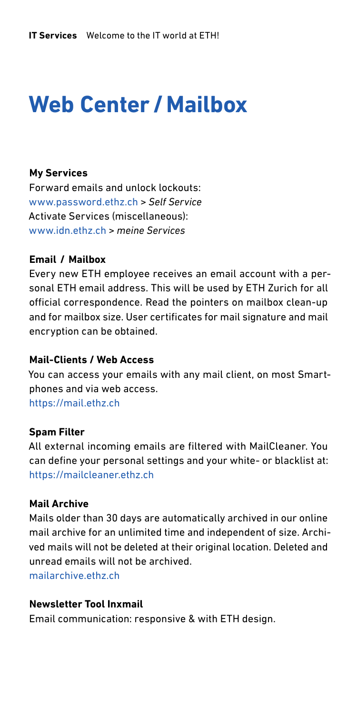# **Web Center /Mailbox**

## **My Services**

Forward emails and unlock lockouts: [www.password.ethz.ch](http://www.password.ethz.ch) *> Self Service* Activate Services (miscellaneous): [www.idn.ethz.ch](http://www.idn.ethz.ch) *> meine Services*

## **Email / Mailbox**

Every new ETH employee receives an email account with a personal ETH email address. This will be used by ETH Zurich for all official correspondence. Read the pointers on mailbox clean-up and for mailbox size. User certificates for mail signature and mail encryption can be obtained.

## **Mail-Clients / Web Access**

You can access your emails with any mail client, on most Smartphones and via web access. <https://mail.ethz.ch>

#### **Spam Filter**

All external incoming emails are filtered with MailCleaner. You can define your personal settings and your white- or blacklist at: <https://mailcleaner.ethz.ch>

#### **Mail Archive**

Mails older than 30 days are automatically archived in our online mail archive for an unlimited time and independent of size. Archived mails will not be deleted at their original location. Deleted and unread emails will not be archived.

mailarchive ethz ch

## **Newsletter Tool Inxmail**

Email communication: responsive & with ETH design.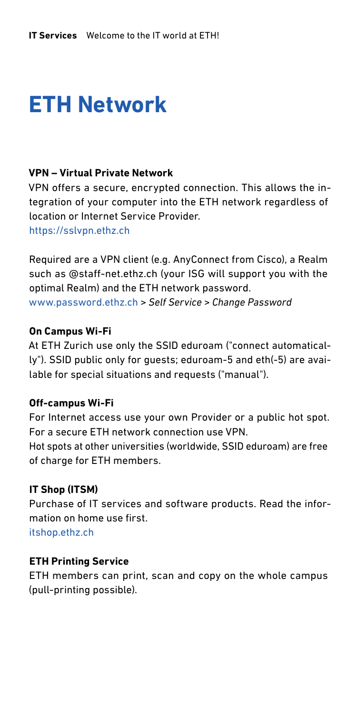# **ETH Network**

## **VPN – Virtual Private Network**

VPN offers a secure, encrypted connection. This allows the integration of your computer into the ETH network regardless of location or Internet Service Provider. <https://sslvpn.ethz.ch>

Required are a VPN client (e.g. AnyConnect from Cisco), a Realm such as @staff-net.ethz.ch (your ISG will support you with the optimal Realm) and the ETH network password. [www.password.ethz.ch](http://www.password.ethz.ch) *> Self Service > Change Password*

#### **On Campus Wi-Fi**

At ETH Zurich use only the SSID eduroam ("connect automatically"). SSID public only for guests; eduroam-5 and eth(-5) are available for special situations and requests ("manual").

#### **Off-campus Wi-Fi**

For Internet access use your own Provider or a public hot spot. For a secure ETH network connection use VPN. Hot spots at other universities (worldwide, SSID eduroam) are free of charge for ETH members.

#### **IT Shop (ITSM)**

Purchase of IT services and software products. Read the information on home use first.

[itshop.ethz.ch](http://itshop.ethz.ch)

### **ETH Printing Service**

ETH members can print, scan and copy on the whole campus (pull-printing possible).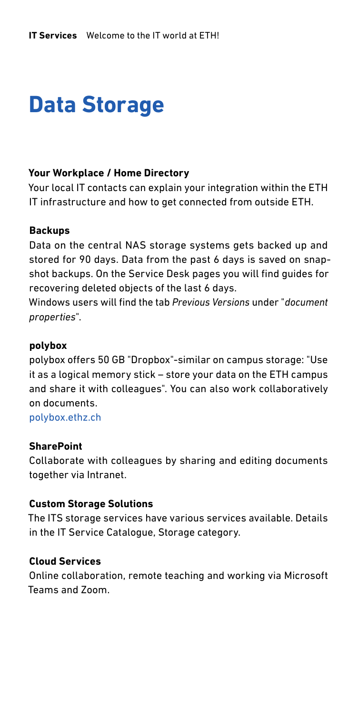# **Data Storage**

## **Your Workplace / Home Directory**

Your local IT contacts can explain your integration within the ETH IT infrastructure and how to get connected from outside ETH.

#### **Backups**

Data on the central NAS storage systems gets backed up and stored for 90 days. Data from the past 6 days is saved on snapshot backups. On the Service Desk pages you will find guides for recovering deleted objects of the last 6 days.

Windows users will find the tab *Previous Versions* under "*document properties*".

#### **polybox**

polybox offers 50 GB "Dropbox"-similar on campus storage: "Use it as a logical memory stick – store your data on the ETH campus and share it with colleagues". You can also work collaboratively on documents.

[polybox.ethz.ch](http://polybox.ethz.ch)

#### **SharePoint**

Collaborate with colleagues by sharing and editing documents together via Intranet.

#### **Custom Storage Solutions**

The ITS storage services have various services available. Details in the IT Service Catalogue, Storage category.

#### **Cloud Services**

Online collaboration, remote teaching and working via Microsoft Teams and Zoom.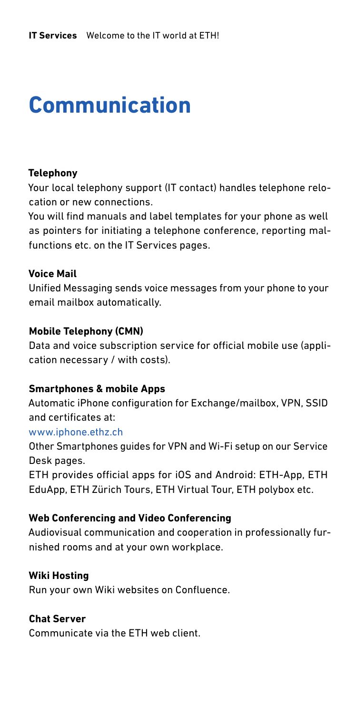# **Communication**

## **Telephony**

Your local telephony support (IT contact) handles telephone relocation or new connections.

You will find manuals and label templates for your phone as well as pointers for initiating a telephone conference, reporting malfunctions etc. on the IT Services pages.

## **Voice Mail**

Unified Messaging sends voice messages from your phone to your email mailbox automatically.

## **Mobile Telephony (CMN)**

Data and voice subscription service for official mobile use (application necessary / with costs).

## **Smartphones & mobile Apps**

Automatic iPhone configuration for Exchange/mailbox, VPN, SSID and certificates at:

#### www.iphone.ethz.ch

Other Smartphones guides for VPN and Wi-Fi setup on our Service Desk pages.

ETH provides official apps for iOS and Android: ETH-App, ETH EduApp, ETH Zürich Tours, ETH Virtual Tour, ETH polybox etc.

## **Web Conferencing and Video Conferencing**

Audiovisual communication and cooperation in professionally furnished rooms and at your own workplace.

## **Wiki Hosting**

Run your own Wiki websites on Confluence.

## **Chat Server**

Communicate via the ETH web client.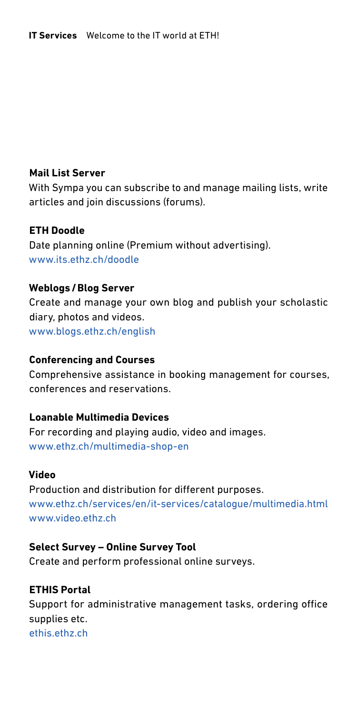## **Mail List Server**

With Sympa you can subscribe to and manage mailing lists, write articles and join discussions (forums).

## **ETH Doodle**

Date planning online (Premium without advertising). [www.its.ethz.ch/doodle](http://www.its.ethz.ch/doodle)

## **Weblogs/Blog Server**

Create and manage your own blog and publish your scholastic diary, photos and videos. [www.blogs.ethz.ch/english](http://blogs.ethz.ch/english/)

## **Conferencing and Courses**

Comprehensive assistance in booking management for courses, conferences and reservations.

## **Loanable Multimedia Devices**

For recording and playing audio, video and images. [www.ethz.ch/multimedia-shop-en](https://ethz.ch/multimedia-shop-en)

## **Video**

Production and distribution for different purposes. [www.ethz.ch/services/en/it-services/catalogue/multimedia.html](https://ethz.ch/services/en/it-services/catalogue/multimedia.html) [www.video.ethz.ch](http://www.video.ethz.ch)

## **Select Survey – Online Survey Tool**

Create and perform professional online surveys.

## **ETHIS Portal**

Support for administrative management tasks, ordering office supplies etc. [ethis.ethz.ch](http://ethis.ethz.ch)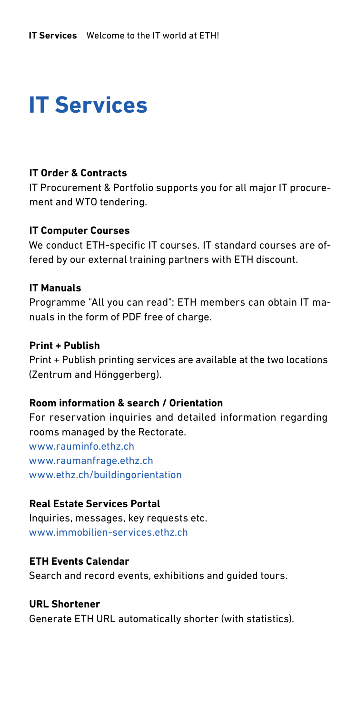# **IT Services**

## **IT Order & Contracts**

IT Procurement & Portfolio supports you for all major IT procurement and WTO tendering.

#### **IT Computer Courses**

We conduct ETH-specific IT courses. IT standard courses are offered by our external training partners with ETH discount.

#### **IT Manuals**

Programme "All you can read": ETH members can obtain IT manuals in the form of PDF free of charge.

#### **Print + Publish**

Print + Publish printing services are available at the two locations (Zentrum and Hönggerberg).

## **Room information & search / Orientation**

For reservation inquiries and detailed information regarding rooms managed by the Rectorate.

[www.rauminfo.ethz.ch](http://www.rauminfo.ethz.ch/IndexPre.do) [www.raumanfrage.ethz.ch](http://www.raumanfrage.ethz.ch) [www.ethz.ch/buildingorientation](http://www.ethz.ch/buildingorientation)

## **Real Estate Services Portal**

Inquiries, messages, key requests etc. [www.immobilien-services.ethz.ch](http://www.immobilien-services.ethz.ch)

## **ETH Events Calendar**

Search and record events, exhibitions and guided tours.

#### **URL Shortener**

Generate ETH URL automatically shorter (with statistics).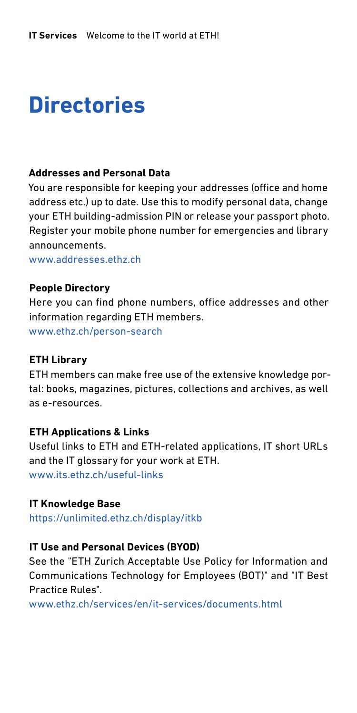## **Directories**

#### **Addresses and Personal Data**

You are responsible for keeping your addresses (office and home address etc.) up to date. Use this to modify personal data, change your ETH building-admission PIN or release your passport photo. Register your mobile phone number for emergencies and library announcements.

[www.addresses.ethz.ch](https://www.bi.id.ethz.ch/eAdressen/loginPre.do;eAdr=dfJ2oISZq7gOTmj_-GOWrD32Ce2_1wntGqDI3U97NIrKGfOHvRfp!1803683396?lang=en)

#### **People Directory**

Here you can find phone numbers, office addresses and other information regarding ETH members. [www.ethz.ch/person-search](http://www.ethz.ch/person-search)

#### **ETH Library**

ETH members can make free use of the extensive knowledge portal: books, magazines, pictures, collections and archives, as well as e-resources.

#### **ETH Applications & Links**

Useful links to ETH and ETH-related applications, IT short URLs and the IT glossary for your work at ETH. [www.its.ethz.ch/useful-links](https://ethz.ch/services/en/it-services/documents/useful-links.html)

#### **IT Knowledge Base**

<https://unlimited.ethz.ch/display/itkb>

#### **IT Use and Personal Devices (BYOD)**

See the "ETH Zurich Acceptable Use Policy for Information and Communications Technology for Employees (BOT)" and "IT Best Practice Rules".

[www.ethz.ch/services/en/it-services/documents.html](http://www.ethz.ch/services/en/it-services/documents.html)